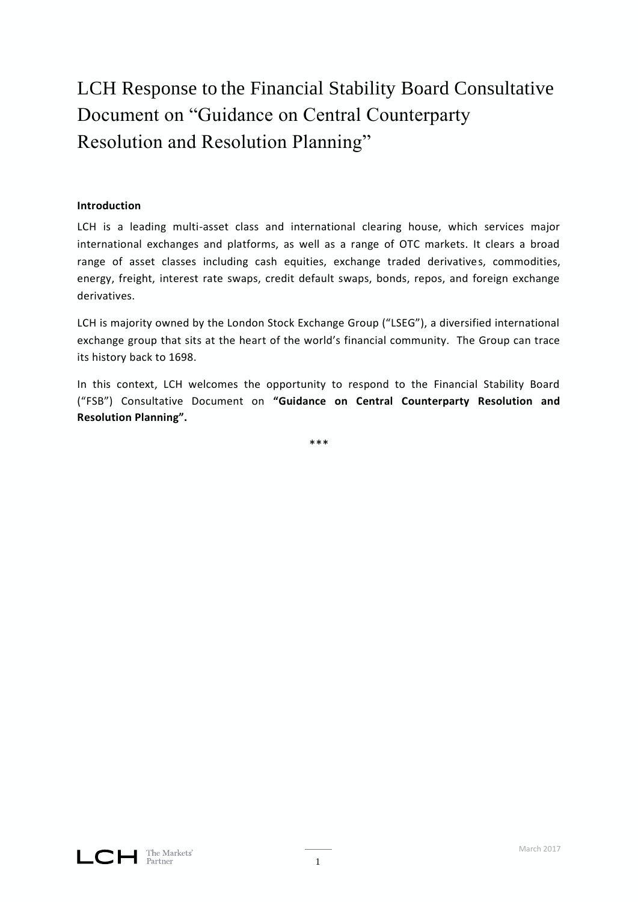# LCH Response to the Financial Stability Board Consultative Document on "Guidance on Central Counterparty Resolution and Resolution Planning"

# **Introduction**

LCH is a leading multi-asset class and international clearing house, which services major international exchanges and platforms, as well as a range of OTC markets. It clears a broad range of asset classes including cash equities, exchange traded derivatives, commodities, energy, freight, interest rate swaps, credit default swaps, bonds, repos, and foreign exchange derivatives.

LCH is majority owned by the London Stock Exchange Group ("LSEG"), a diversified international exchange group that sits at the heart of the world's financial community. The Group can trace its history back to 1698.

In this context, LCH welcomes the opportunity to respond to the Financial Stability Board ("FSB") Consultative Document on **"Guidance on Central Counterparty Resolution and Resolution Planning".**

\*\*\*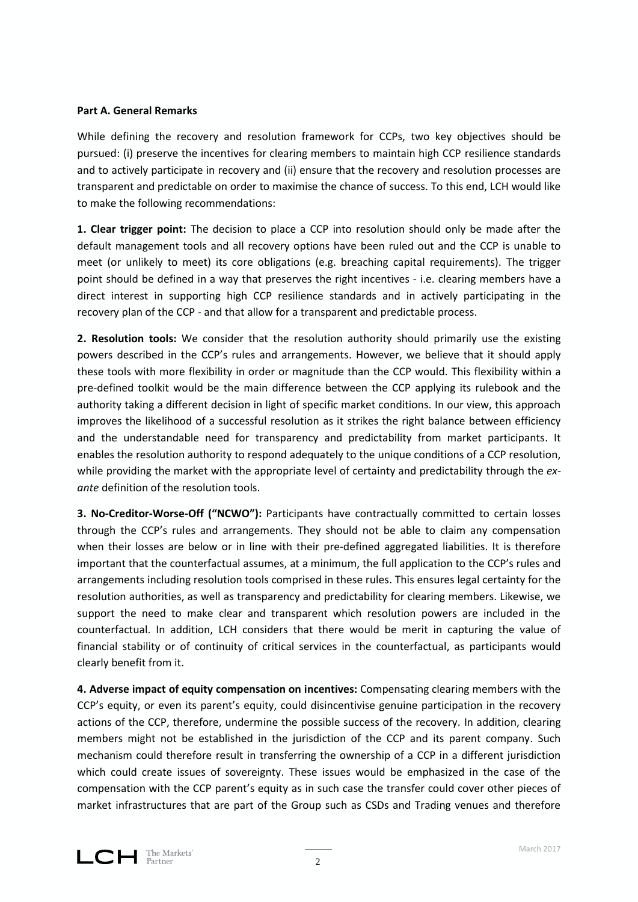## **Part A. General Remarks**

While defining the recovery and resolution framework for CCPs, two key objectives should be pursued: (i) preserve the incentives for clearing members to maintain high CCP resilience standards and to actively participate in recovery and (ii) ensure that the recovery and resolution processes are transparent and predictable on order to maximise the chance of success. To this end, LCH would like to make the following recommendations:

**1. Clear trigger point:** The decision to place a CCP into resolution should only be made after the default management tools and all recovery options have been ruled out and the CCP is unable to meet (or unlikely to meet) its core obligations (e.g. breaching capital requirements). The trigger point should be defined in a way that preserves the right incentives - i.e. clearing members have a direct interest in supporting high CCP resilience standards and in actively participating in the recovery plan of the CCP - and that allow for a transparent and predictable process.

**2. Resolution tools:** We consider that the resolution authority should primarily use the existing powers described in the CCP's rules and arrangements. However, we believe that it should apply these tools with more flexibility in order or magnitude than the CCP would. This flexibility within a pre-defined toolkit would be the main difference between the CCP applying its rulebook and the authority taking a different decision in light of specific market conditions. In our view, this approach improves the likelihood of a successful resolution as it strikes the right balance between efficiency and the understandable need for transparency and predictability from market participants. It enables the resolution authority to respond adequately to the unique conditions of a CCP resolution, while providing the market with the appropriate level of certainty and predictability through the *exante* definition of the resolution tools.

**3. No-Creditor-Worse-Off ("NCWO"):** Participants have contractually committed to certain losses through the CCP's rules and arrangements. They should not be able to claim any compensation when their losses are below or in line with their pre-defined aggregated liabilities. It is therefore important that the counterfactual assumes, at a minimum, the full application to the CCP's rules and arrangements including resolution tools comprised in these rules. This ensures legal certainty for the resolution authorities, as well as transparency and predictability for clearing members. Likewise, we support the need to make clear and transparent which resolution powers are included in the counterfactual. In addition, LCH considers that there would be merit in capturing the value of financial stability or of continuity of critical services in the counterfactual, as participants would clearly benefit from it.

**4. Adverse impact of equity compensation on incentives:** Compensating clearing members with the CCP's equity, or even its parent's equity, could disincentivise genuine participation in the recovery actions of the CCP, therefore, undermine the possible success of the recovery. In addition, clearing members might not be established in the jurisdiction of the CCP and its parent company. Such mechanism could therefore result in transferring the ownership of a CCP in a different jurisdiction which could create issues of sovereignty. These issues would be emphasized in the case of the compensation with the CCP parent's equity as in such case the transfer could cover other pieces of market infrastructures that are part of the Group such as CSDs and Trading venues and therefore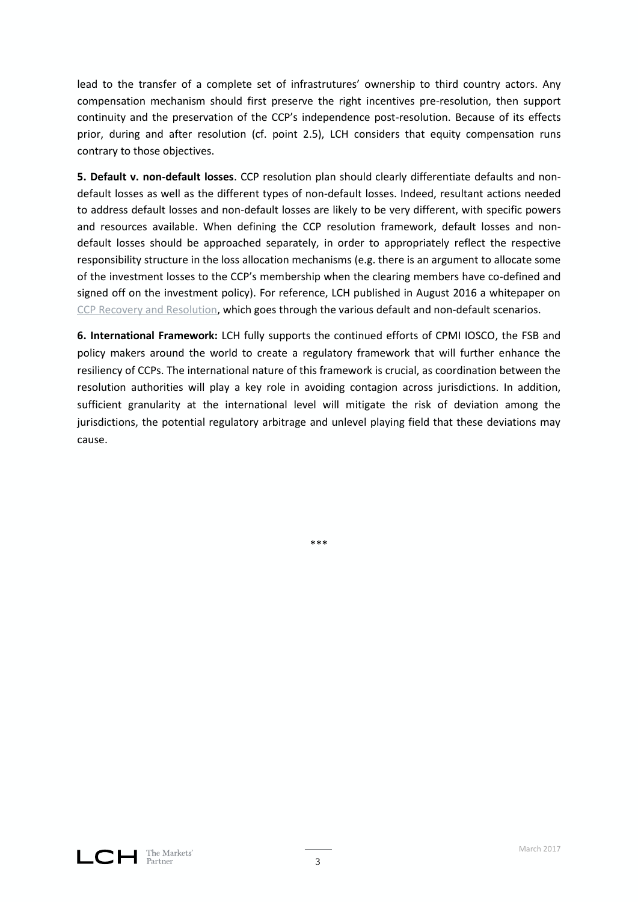lead to the transfer of a complete set of infrastrutures' ownership to third country actors. Any compensation mechanism should first preserve the right incentives pre-resolution, then support continuity and the preservation of the CCP's independence post-resolution. Because of its effects prior, during and after resolution (cf. point 2.5), LCH considers that equity compensation runs contrary to those objectives.

**5. Default v. non-default losses**. CCP resolution plan should clearly differentiate defaults and nondefault losses as well as the different types of non-default losses. Indeed, resultant actions needed to address default losses and non-default losses are likely to be very different, with specific powers and resources available. When defining the CCP resolution framework, default losses and nondefault losses should be approached separately, in order to appropriately reflect the respective responsibility structure in the loss allocation mechanisms (e.g. there is an argument to allocate some of the investment losses to the CCP's membership when the clearing members have co-defined and signed off on the investment policy). For reference, LCH published in August 2016 a whitepaper on CCP [Recovery and Resolution,](http://www.lch.com/documents/731485/762444/-and-resolution-a-framework-for-ccps.pdf/) which goes through the various default and non-default scenarios.

**6. International Framework:** LCH fully supports the continued efforts of CPMI IOSCO, the FSB and policy makers around the world to create a regulatory framework that will further enhance the resiliency of CCPs. The international nature of this framework is crucial, as coordination between the resolution authorities will play a key role in avoiding contagion across jurisdictions. In addition, sufficient granularity at the international level will mitigate the risk of deviation among the jurisdictions, the potential regulatory arbitrage and unlevel playing field that these deviations may cause.

\*\*\*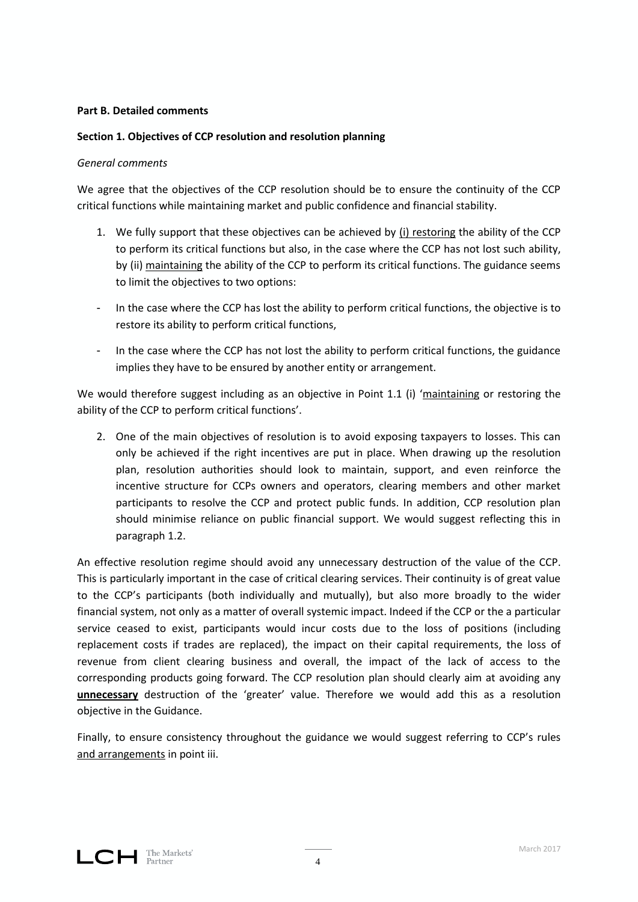## **Part B. Detailed comments**

# **Section 1. Objectives of CCP resolution and resolution planning**

## *General comments*

We agree that the objectives of the CCP resolution should be to ensure the continuity of the CCP critical functions while maintaining market and public confidence and financial stability.

- 1. We fully support that these objectives can be achieved by (i) restoring the ability of the CCP to perform its critical functions but also, in the case where the CCP has not lost such ability, by (ii) maintaining the ability of the CCP to perform its critical functions. The guidance seems to limit the objectives to two options:
- In the case where the CCP has lost the ability to perform critical functions, the objective is to restore its ability to perform critical functions,
- In the case where the CCP has not lost the ability to perform critical functions, the guidance implies they have to be ensured by another entity or arrangement.

We would therefore suggest including as an objective in Point 1.1 (i) 'maintaining or restoring the ability of the CCP to perform critical functions'.

2. One of the main objectives of resolution is to avoid exposing taxpayers to losses. This can only be achieved if the right incentives are put in place. When drawing up the resolution plan, resolution authorities should look to maintain, support, and even reinforce the incentive structure for CCPs owners and operators, clearing members and other market participants to resolve the CCP and protect public funds. In addition, CCP resolution plan should minimise reliance on public financial support. We would suggest reflecting this in paragraph 1.2.

An effective resolution regime should avoid any unnecessary destruction of the value of the CCP. This is particularly important in the case of critical clearing services. Their continuity is of great value to the CCP's participants (both individually and mutually), but also more broadly to the wider financial system, not only as a matter of overall systemic impact. Indeed if the CCP or the a particular service ceased to exist, participants would incur costs due to the loss of positions (including replacement costs if trades are replaced), the impact on their capital requirements, the loss of revenue from client clearing business and overall, the impact of the lack of access to the corresponding products going forward. The CCP resolution plan should clearly aim at avoiding any **unnecessary** destruction of the 'greater' value. Therefore we would add this as a resolution objective in the Guidance.

Finally, to ensure consistency throughout the guidance we would suggest referring to CCP's rules and arrangements in point iii.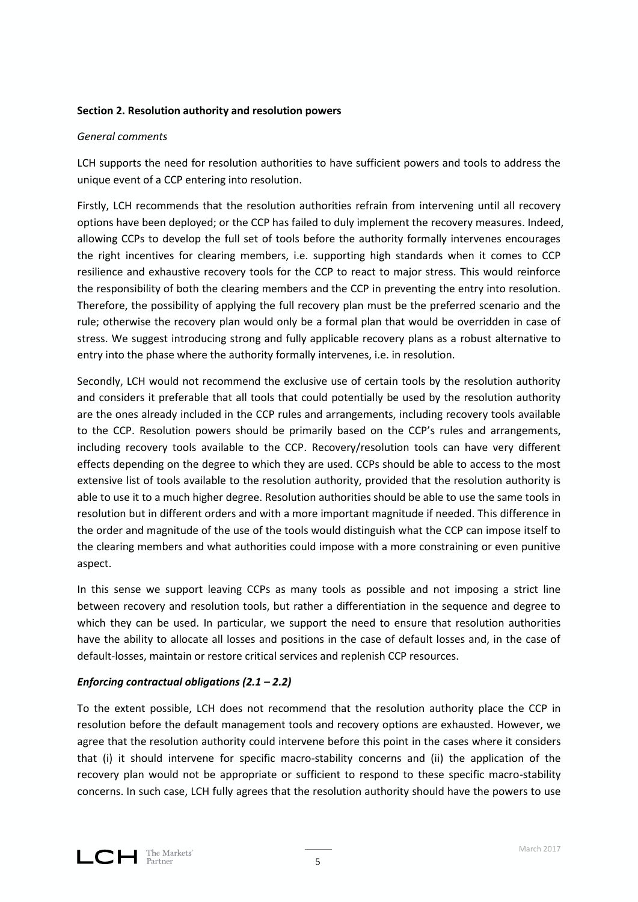# **Section 2. Resolution authority and resolution powers**

## *General comments*

LCH supports the need for resolution authorities to have sufficient powers and tools to address the unique event of a CCP entering into resolution.

Firstly, LCH recommends that the resolution authorities refrain from intervening until all recovery options have been deployed; or the CCP has failed to duly implement the recovery measures. Indeed, allowing CCPs to develop the full set of tools before the authority formally intervenes encourages the right incentives for clearing members, i.e. supporting high standards when it comes to CCP resilience and exhaustive recovery tools for the CCP to react to major stress. This would reinforce the responsibility of both the clearing members and the CCP in preventing the entry into resolution. Therefore, the possibility of applying the full recovery plan must be the preferred scenario and the rule; otherwise the recovery plan would only be a formal plan that would be overridden in case of stress. We suggest introducing strong and fully applicable recovery plans as a robust alternative to entry into the phase where the authority formally intervenes, i.e. in resolution.

Secondly, LCH would not recommend the exclusive use of certain tools by the resolution authority and considers it preferable that all tools that could potentially be used by the resolution authority are the ones already included in the CCP rules and arrangements, including recovery tools available to the CCP. Resolution powers should be primarily based on the CCP's rules and arrangements, including recovery tools available to the CCP. Recovery/resolution tools can have very different effects depending on the degree to which they are used. CCPs should be able to access to the most extensive list of tools available to the resolution authority, provided that the resolution authority is able to use it to a much higher degree. Resolution authorities should be able to use the same tools in resolution but in different orders and with a more important magnitude if needed. This difference in the order and magnitude of the use of the tools would distinguish what the CCP can impose itself to the clearing members and what authorities could impose with a more constraining or even punitive aspect.

In this sense we support leaving CCPs as many tools as possible and not imposing a strict line between recovery and resolution tools, but rather a differentiation in the sequence and degree to which they can be used. In particular, we support the need to ensure that resolution authorities have the ability to allocate all losses and positions in the case of default losses and, in the case of default-losses, maintain or restore critical services and replenish CCP resources.

# *Enforcing contractual obligations (2.1 – 2.2)*

To the extent possible, LCH does not recommend that the resolution authority place the CCP in resolution before the default management tools and recovery options are exhausted. However, we agree that the resolution authority could intervene before this point in the cases where it considers that (i) it should intervene for specific macro-stability concerns and (ii) the application of the recovery plan would not be appropriate or sufficient to respond to these specific macro-stability concerns. In such case, LCH fully agrees that the resolution authority should have the powers to use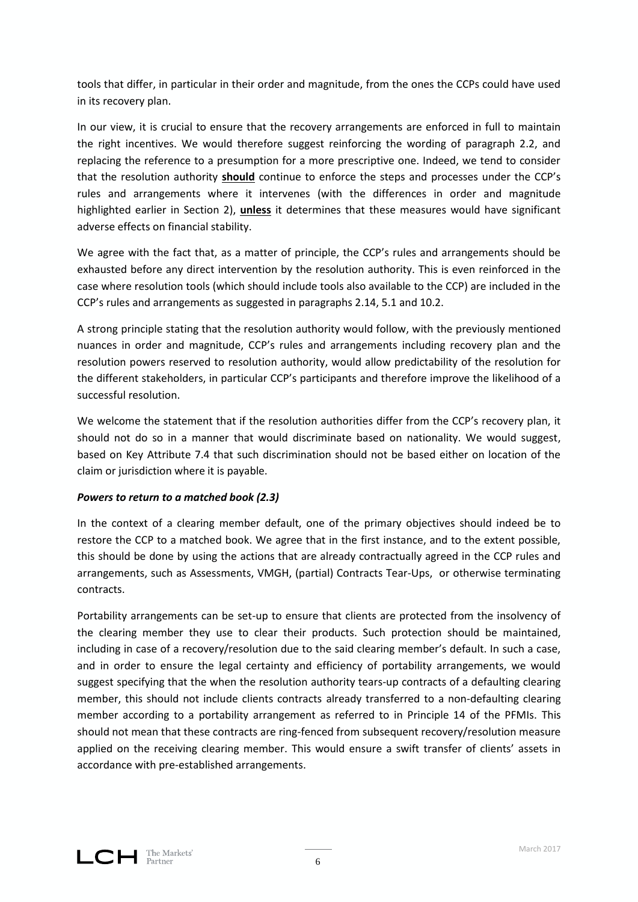tools that differ, in particular in their order and magnitude, from the ones the CCPs could have used in its recovery plan.

In our view, it is crucial to ensure that the recovery arrangements are enforced in full to maintain the right incentives. We would therefore suggest reinforcing the wording of paragraph 2.2, and replacing the reference to a presumption for a more prescriptive one. Indeed, we tend to consider that the resolution authority **should** continue to enforce the steps and processes under the CCP's rules and arrangements where it intervenes (with the differences in order and magnitude highlighted earlier in Section 2), **unless** it determines that these measures would have significant adverse effects on financial stability.

We agree with the fact that, as a matter of principle, the CCP's rules and arrangements should be exhausted before any direct intervention by the resolution authority. This is even reinforced in the case where resolution tools (which should include tools also available to the CCP) are included in the CCP's rules and arrangements as suggested in paragraphs 2.14, 5.1 and 10.2.

A strong principle stating that the resolution authority would follow, with the previously mentioned nuances in order and magnitude, CCP's rules and arrangements including recovery plan and the resolution powers reserved to resolution authority, would allow predictability of the resolution for the different stakeholders, in particular CCP's participants and therefore improve the likelihood of a successful resolution.

We welcome the statement that if the resolution authorities differ from the CCP's recovery plan, it should not do so in a manner that would discriminate based on nationality. We would suggest, based on Key Attribute 7.4 that such discrimination should not be based either on location of the claim or jurisdiction where it is payable.

# *Powers to return to a matched book (2.3)*

In the context of a clearing member default, one of the primary objectives should indeed be to restore the CCP to a matched book. We agree that in the first instance, and to the extent possible, this should be done by using the actions that are already contractually agreed in the CCP rules and arrangements, such as Assessments, VMGH, (partial) Contracts Tear-Ups, or otherwise terminating contracts.

Portability arrangements can be set-up to ensure that clients are protected from the insolvency of the clearing member they use to clear their products. Such protection should be maintained, including in case of a recovery/resolution due to the said clearing member's default. In such a case, and in order to ensure the legal certainty and efficiency of portability arrangements, we would suggest specifying that the when the resolution authority tears-up contracts of a defaulting clearing member, this should not include clients contracts already transferred to a non-defaulting clearing member according to a portability arrangement as referred to in Principle 14 of the PFMIs. This should not mean that these contracts are ring-fenced from subsequent recovery/resolution measure applied on the receiving clearing member. This would ensure a swift transfer of clients' assets in accordance with pre-established arrangements.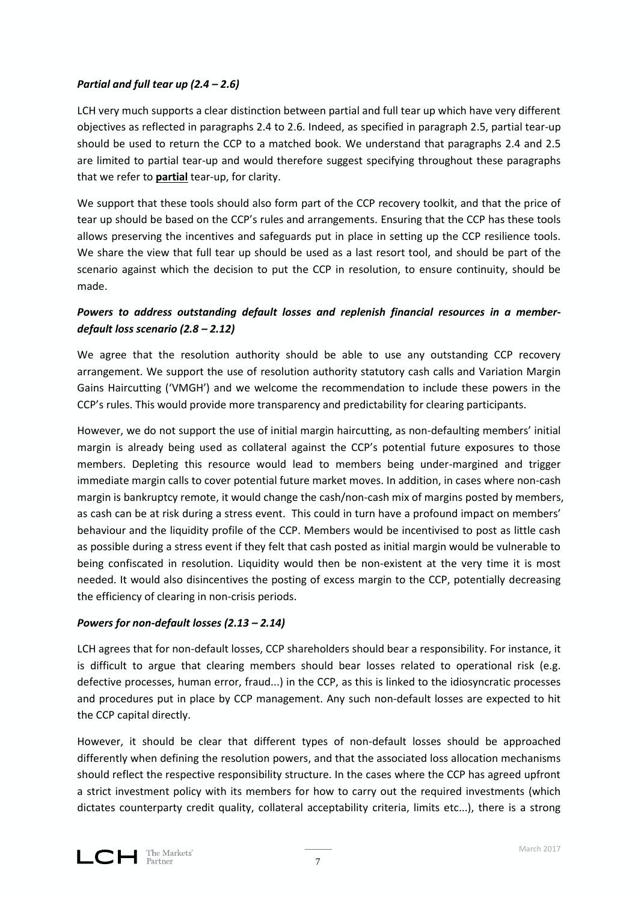# *Partial and full tear up (2.4 – 2.6)*

LCH very much supports a clear distinction between partial and full tear up which have very different objectives as reflected in paragraphs 2.4 to 2.6. Indeed, as specified in paragraph 2.5, partial tear-up should be used to return the CCP to a matched book. We understand that paragraphs 2.4 and 2.5 are limited to partial tear-up and would therefore suggest specifying throughout these paragraphs that we refer to **partial** tear-up, for clarity.

We support that these tools should also form part of the CCP recovery toolkit, and that the price of tear up should be based on the CCP's rules and arrangements. Ensuring that the CCP has these tools allows preserving the incentives and safeguards put in place in setting up the CCP resilience tools. We share the view that full tear up should be used as a last resort tool, and should be part of the scenario against which the decision to put the CCP in resolution, to ensure continuity, should be made.

# *Powers to address outstanding default losses and replenish financial resources in a memberdefault loss scenario (2.8 – 2.12)*

We agree that the resolution authority should be able to use any outstanding CCP recovery arrangement. We support the use of resolution authority statutory cash calls and Variation Margin Gains Haircutting ('VMGH') and we welcome the recommendation to include these powers in the CCP's rules. This would provide more transparency and predictability for clearing participants.

However, we do not support the use of initial margin haircutting, as non-defaulting members' initial margin is already being used as collateral against the CCP's potential future exposures to those members. Depleting this resource would lead to members being under-margined and trigger immediate margin calls to cover potential future market moves. In addition, in cases where non-cash margin is bankruptcy remote, it would change the cash/non-cash mix of margins posted by members, as cash can be at risk during a stress event. This could in turn have a profound impact on members' behaviour and the liquidity profile of the CCP. Members would be incentivised to post as little cash as possible during a stress event if they felt that cash posted as initial margin would be vulnerable to being confiscated in resolution. Liquidity would then be non-existent at the very time it is most needed. It would also disincentives the posting of excess margin to the CCP, potentially decreasing the efficiency of clearing in non-crisis periods.

# *Powers for non-default losses (2.13 – 2.14)*

LCH agrees that for non-default losses, CCP shareholders should bear a responsibility. For instance, it is difficult to argue that clearing members should bear losses related to operational risk (e.g. defective processes, human error, fraud...) in the CCP, as this is linked to the idiosyncratic processes and procedures put in place by CCP management. Any such non-default losses are expected to hit the CCP capital directly.

However, it should be clear that different types of non-default losses should be approached differently when defining the resolution powers, and that the associated loss allocation mechanisms should reflect the respective responsibility structure. In the cases where the CCP has agreed upfront a strict investment policy with its members for how to carry out the required investments (which dictates counterparty credit quality, collateral acceptability criteria, limits etc...), there is a strong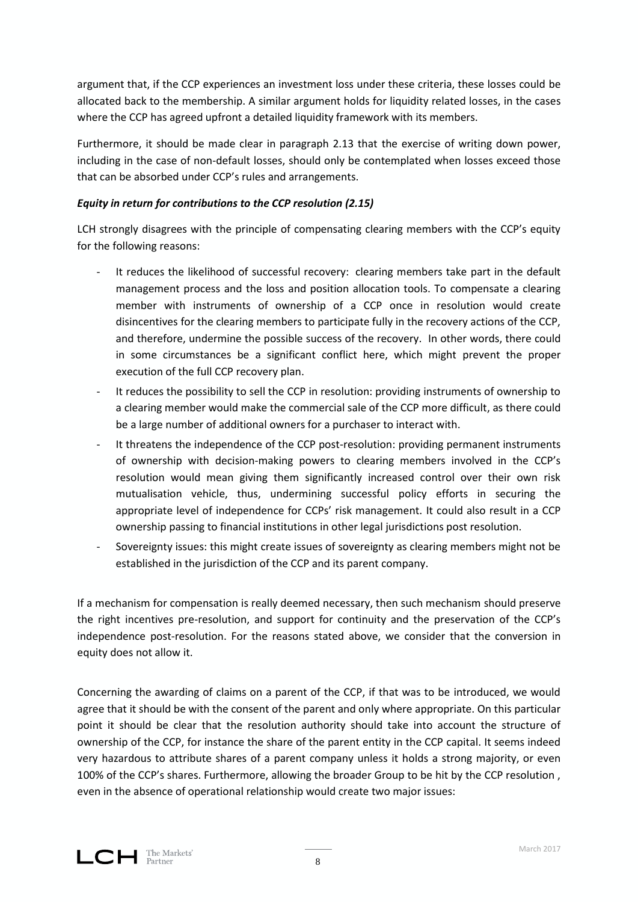argument that, if the CCP experiences an investment loss under these criteria, these losses could be allocated back to the membership. A similar argument holds for liquidity related losses, in the cases where the CCP has agreed upfront a detailed liquidity framework with its members.

Furthermore, it should be made clear in paragraph 2.13 that the exercise of writing down power, including in the case of non-default losses, should only be contemplated when losses exceed those that can be absorbed under CCP's rules and arrangements.

# *Equity in return for contributions to the CCP resolution (2.15)*

LCH strongly disagrees with the principle of compensating clearing members with the CCP's equity for the following reasons:

- It reduces the likelihood of successful recovery: clearing members take part in the default management process and the loss and position allocation tools. To compensate a clearing member with instruments of ownership of a CCP once in resolution would create disincentives for the clearing members to participate fully in the recovery actions of the CCP, and therefore, undermine the possible success of the recovery. In other words, there could in some circumstances be a significant conflict here, which might prevent the proper execution of the full CCP recovery plan.
- It reduces the possibility to sell the CCP in resolution: providing instruments of ownership to a clearing member would make the commercial sale of the CCP more difficult, as there could be a large number of additional owners for a purchaser to interact with.
- It threatens the independence of the CCP post-resolution: providing permanent instruments of ownership with decision-making powers to clearing members involved in the CCP's resolution would mean giving them significantly increased control over their own risk mutualisation vehicle, thus, undermining successful policy efforts in securing the appropriate level of independence for CCPs' risk management. It could also result in a CCP ownership passing to financial institutions in other legal jurisdictions post resolution.
- Sovereignty issues: this might create issues of sovereignty as clearing members might not be established in the jurisdiction of the CCP and its parent company.

If a mechanism for compensation is really deemed necessary, then such mechanism should preserve the right incentives pre-resolution, and support for continuity and the preservation of the CCP's independence post-resolution. For the reasons stated above, we consider that the conversion in equity does not allow it.

Concerning the awarding of claims on a parent of the CCP, if that was to be introduced, we would agree that it should be with the consent of the parent and only where appropriate. On this particular point it should be clear that the resolution authority should take into account the structure of ownership of the CCP, for instance the share of the parent entity in the CCP capital. It seems indeed very hazardous to attribute shares of a parent company unless it holds a strong majority, or even 100% of the CCP's shares. Furthermore, allowing the broader Group to be hit by the CCP resolution , even in the absence of operational relationship would create two major issues: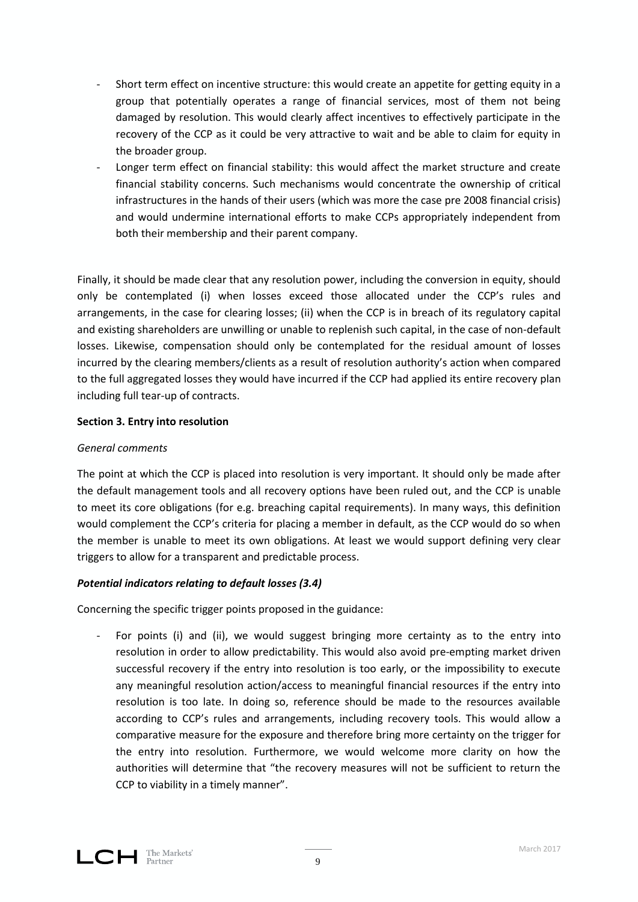- Short term effect on incentive structure: this would create an appetite for getting equity in a group that potentially operates a range of financial services, most of them not being damaged by resolution. This would clearly affect incentives to effectively participate in the recovery of the CCP as it could be very attractive to wait and be able to claim for equity in the broader group.
- Longer term effect on financial stability: this would affect the market structure and create financial stability concerns. Such mechanisms would concentrate the ownership of critical infrastructures in the hands of their users (which was more the case pre 2008 financial crisis) and would undermine international efforts to make CCPs appropriately independent from both their membership and their parent company.

Finally, it should be made clear that any resolution power, including the conversion in equity, should only be contemplated (i) when losses exceed those allocated under the CCP's rules and arrangements, in the case for clearing losses; (ii) when the CCP is in breach of its regulatory capital and existing shareholders are unwilling or unable to replenish such capital, in the case of non-default losses. Likewise, compensation should only be contemplated for the residual amount of losses incurred by the clearing members/clients as a result of resolution authority's action when compared to the full aggregated losses they would have incurred if the CCP had applied its entire recovery plan including full tear-up of contracts.

# **Section 3. Entry into resolution**

# *General comments*

The point at which the CCP is placed into resolution is very important. It should only be made after the default management tools and all recovery options have been ruled out, and the CCP is unable to meet its core obligations (for e.g. breaching capital requirements). In many ways, this definition would complement the CCP's criteria for placing a member in default, as the CCP would do so when the member is unable to meet its own obligations. At least we would support defining very clear triggers to allow for a transparent and predictable process.

# *Potential indicators relating to default losses (3.4)*

Concerning the specific trigger points proposed in the guidance:

For points (i) and (ii), we would suggest bringing more certainty as to the entry into resolution in order to allow predictability. This would also avoid pre-empting market driven successful recovery if the entry into resolution is too early, or the impossibility to execute any meaningful resolution action/access to meaningful financial resources if the entry into resolution is too late. In doing so, reference should be made to the resources available according to CCP's rules and arrangements, including recovery tools. This would allow a comparative measure for the exposure and therefore bring more certainty on the trigger for the entry into resolution. Furthermore, we would welcome more clarity on how the authorities will determine that "the recovery measures will not be sufficient to return the CCP to viability in a timely manner".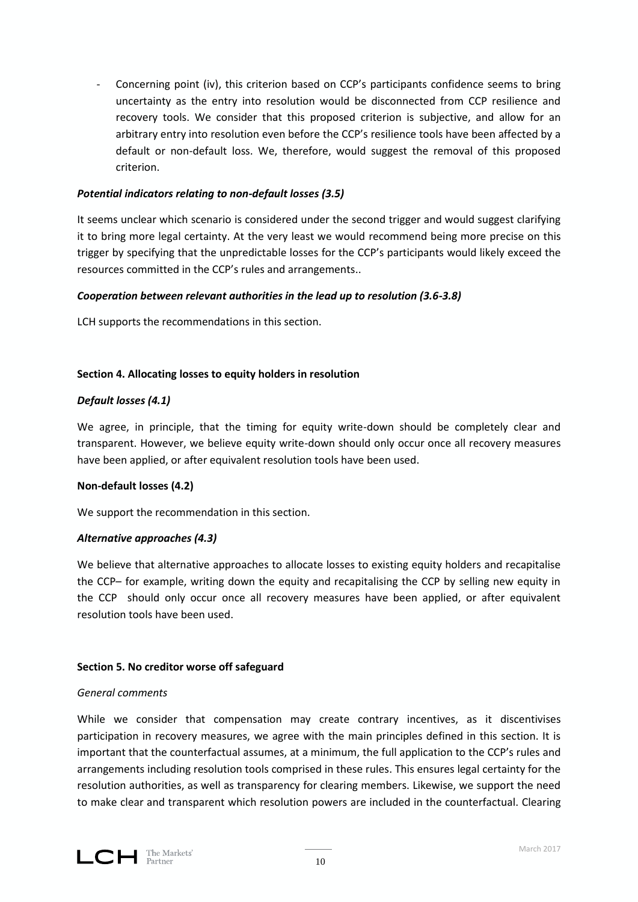- Concerning point (iv), this criterion based on CCP's participants confidence seems to bring uncertainty as the entry into resolution would be disconnected from CCP resilience and recovery tools. We consider that this proposed criterion is subjective, and allow for an arbitrary entry into resolution even before the CCP's resilience tools have been affected by a default or non-default loss. We, therefore, would suggest the removal of this proposed criterion.

## *Potential indicators relating to non-default losses (3.5)*

It seems unclear which scenario is considered under the second trigger and would suggest clarifying it to bring more legal certainty. At the very least we would recommend being more precise on this trigger by specifying that the unpredictable losses for the CCP's participants would likely exceed the resources committed in the CCP's rules and arrangements..

# *Cooperation between relevant authorities in the lead up to resolution (3.6-3.8)*

LCH supports the recommendations in this section.

# **Section 4. Allocating losses to equity holders in resolution**

# *Default losses (4.1)*

We agree, in principle, that the timing for equity write-down should be completely clear and transparent. However, we believe equity write-down should only occur once all recovery measures have been applied, or after equivalent resolution tools have been used.

## **Non-default losses (4.2)**

We support the recommendation in this section.

## *Alternative approaches (4.3)*

We believe that alternative approaches to allocate losses to existing equity holders and recapitalise the CCP– for example, writing down the equity and recapitalising the CCP by selling new equity in the CCP should only occur once all recovery measures have been applied, or after equivalent resolution tools have been used.

## **Section 5. No creditor worse off safeguard**

## *General comments*

While we consider that compensation may create contrary incentives, as it discentivises participation in recovery measures, we agree with the main principles defined in this section. It is important that the counterfactual assumes, at a minimum, the full application to the CCP's rules and arrangements including resolution tools comprised in these rules. This ensures legal certainty for the resolution authorities, as well as transparency for clearing members. Likewise, we support the need to make clear and transparent which resolution powers are included in the counterfactual. Clearing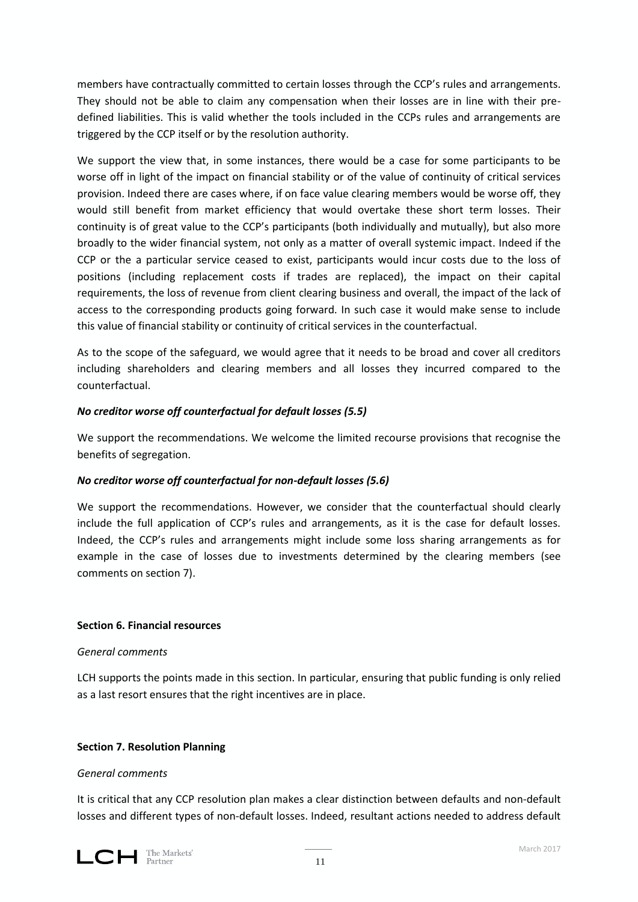members have contractually committed to certain losses through the CCP's rules and arrangements. They should not be able to claim any compensation when their losses are in line with their predefined liabilities. This is valid whether the tools included in the CCPs rules and arrangements are triggered by the CCP itself or by the resolution authority.

We support the view that, in some instances, there would be a case for some participants to be worse off in light of the impact on financial stability or of the value of continuity of critical services provision. Indeed there are cases where, if on face value clearing members would be worse off, they would still benefit from market efficiency that would overtake these short term losses. Their continuity is of great value to the CCP's participants (both individually and mutually), but also more broadly to the wider financial system, not only as a matter of overall systemic impact. Indeed if the CCP or the a particular service ceased to exist, participants would incur costs due to the loss of positions (including replacement costs if trades are replaced), the impact on their capital requirements, the loss of revenue from client clearing business and overall, the impact of the lack of access to the corresponding products going forward. In such case it would make sense to include this value of financial stability or continuity of critical services in the counterfactual.

As to the scope of the safeguard, we would agree that it needs to be broad and cover all creditors including shareholders and clearing members and all losses they incurred compared to the counterfactual.

# *No creditor worse off counterfactual for default losses (5.5)*

We support the recommendations. We welcome the limited recourse provisions that recognise the benefits of segregation.

## *No creditor worse off counterfactual for non-default losses (5.6)*

We support the recommendations. However, we consider that the counterfactual should clearly include the full application of CCP's rules and arrangements, as it is the case for default losses. Indeed, the CCP's rules and arrangements might include some loss sharing arrangements as for example in the case of losses due to investments determined by the clearing members (see comments on section 7).

## **Section 6. Financial resources**

## *General comments*

LCH supports the points made in this section. In particular, ensuring that public funding is only relied as a last resort ensures that the right incentives are in place.

## **Section 7. Resolution Planning**

## *General comments*

It is critical that any CCP resolution plan makes a clear distinction between defaults and non-default losses and different types of non-default losses. Indeed, resultant actions needed to address default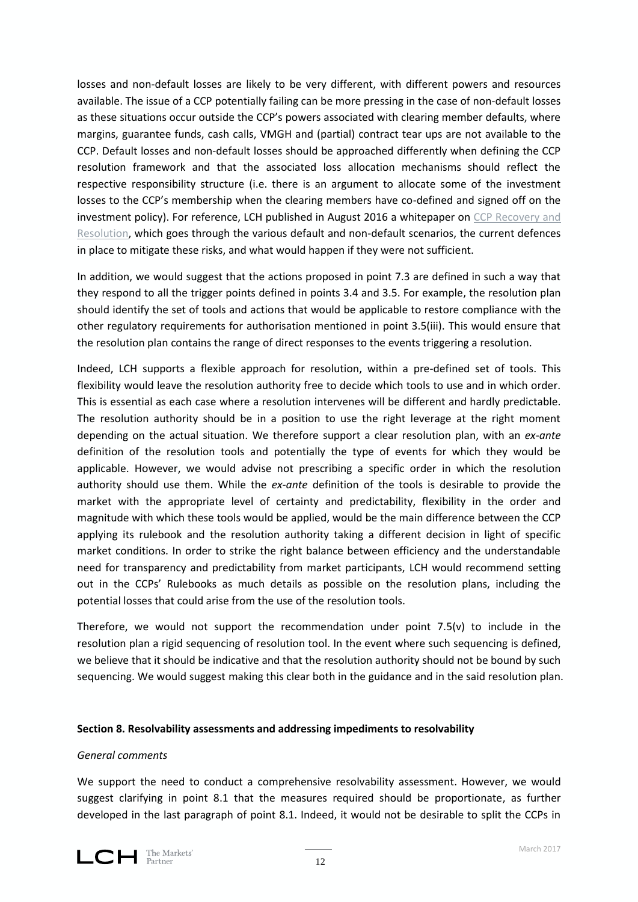losses and non-default losses are likely to be very different, with different powers and resources available. The issue of a CCP potentially failing can be more pressing in the case of non-default losses as these situations occur outside the CCP's powers associated with clearing member defaults, where margins, guarantee funds, cash calls, VMGH and (partial) contract tear ups are not available to the CCP. Default losses and non-default losses should be approached differently when defining the CCP resolution framework and that the associated loss allocation mechanisms should reflect the respective responsibility structure (i.e. there is an argument to allocate some of the investment losses to the CCP's membership when the clearing members have co-defined and signed off on the investment policy). For reference, LCH published in August 2016 a whitepaper on [CCP Recovery and](http://www.lch.com/documents/731485/762444/-and-resolution-a-framework-for-ccps.pdf/)  [Resolution,](http://www.lch.com/documents/731485/762444/-and-resolution-a-framework-for-ccps.pdf/) which goes through the various default and non-default scenarios, the current defences in place to mitigate these risks, and what would happen if they were not sufficient.

In addition, we would suggest that the actions proposed in point 7.3 are defined in such a way that they respond to all the trigger points defined in points 3.4 and 3.5. For example, the resolution plan should identify the set of tools and actions that would be applicable to restore compliance with the other regulatory requirements for authorisation mentioned in point 3.5(iii). This would ensure that the resolution plan contains the range of direct responses to the events triggering a resolution.

Indeed, LCH supports a flexible approach for resolution, within a pre-defined set of tools. This flexibility would leave the resolution authority free to decide which tools to use and in which order. This is essential as each case where a resolution intervenes will be different and hardly predictable. The resolution authority should be in a position to use the right leverage at the right moment depending on the actual situation. We therefore support a clear resolution plan, with an *ex-ante* definition of the resolution tools and potentially the type of events for which they would be applicable. However, we would advise not prescribing a specific order in which the resolution authority should use them. While the *ex-ante* definition of the tools is desirable to provide the market with the appropriate level of certainty and predictability, flexibility in the order and magnitude with which these tools would be applied, would be the main difference between the CCP applying its rulebook and the resolution authority taking a different decision in light of specific market conditions. In order to strike the right balance between efficiency and the understandable need for transparency and predictability from market participants, LCH would recommend setting out in the CCPs' Rulebooks as much details as possible on the resolution plans, including the potential losses that could arise from the use of the resolution tools.

Therefore, we would not support the recommendation under point  $7.5(v)$  to include in the resolution plan a rigid sequencing of resolution tool. In the event where such sequencing is defined, we believe that it should be indicative and that the resolution authority should not be bound by such sequencing. We would suggest making this clear both in the guidance and in the said resolution plan.

## **Section 8. Resolvability assessments and addressing impediments to resolvability**

## *General comments*

We support the need to conduct a comprehensive resolvability assessment. However, we would suggest clarifying in point 8.1 that the measures required should be proportionate, as further developed in the last paragraph of point 8.1. Indeed, it would not be desirable to split the CCPs in